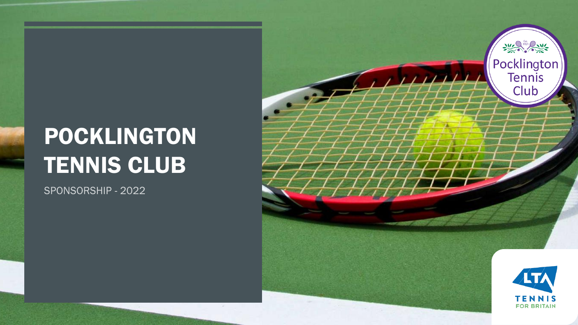# POCKLINGTON TENNIS CLUB

œ

SPONSORSHIP - 2022

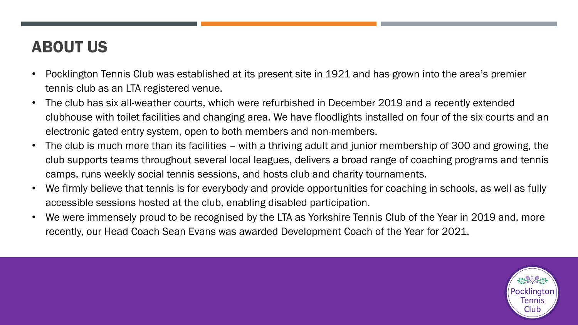## ABOUT US

- Pocklington Tennis Club was established at its present site in 1921 and has grown into the area's premier tennis club as an LTA registered venue.
- The club has six all-weather courts, which were refurbished in December 2019 and a recently extended clubhouse with toilet facilities and changing area. We have floodlights installed on four of the six courts and an electronic gated entry system, open to both members and non-members.
- The club is much more than its facilities with a thriving adult and junior membership of 300 and growing, the club supports teams throughout several local leagues, delivers a broad range of coaching programs and tennis camps, runs weekly social tennis sessions, and hosts club and charity tournaments.
- We firmly believe that tennis is for everybody and provide opportunities for coaching in schools, as well as fully accessible sessions hosted at the club, enabling disabled participation.
- We were immensely proud to be recognised by the LTA as Yorkshire Tennis Club of the Year in 2019 and, more recently, our Head Coach Sean Evans was awarded Development Coach of the Year for 2021.

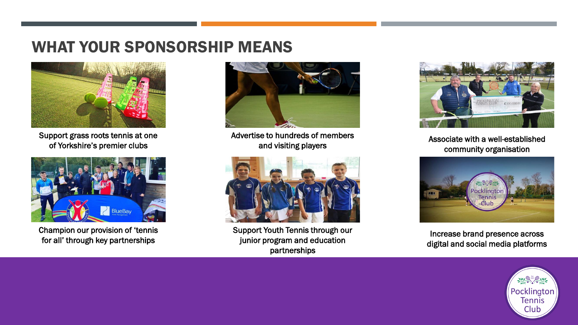#### WHAT YOUR SPONSORSHIP MEANS



Support grass roots tennis at one of Yorkshire's premier clubs



Champion our provision of 'tennis for all' through key partnerships



Advertise to hundreds of members and visiting players



Support Youth Tennis through our junior program and education partnerships



Associate with a well-established community organisation



Increase brand presence across digital and social media platforms

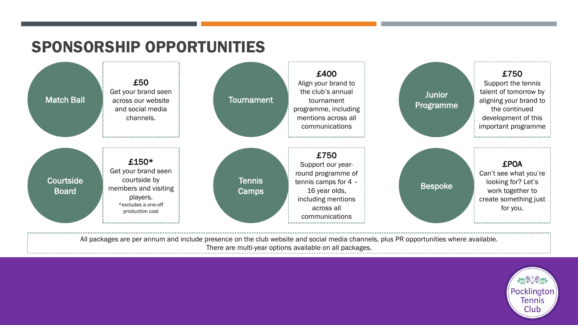## SPONSORSHIP OPPORTUNITIES



All packages are per annum and include presence on the club website and social media channels, plus PR opportunities where available. There are multi-year options available on all packages.